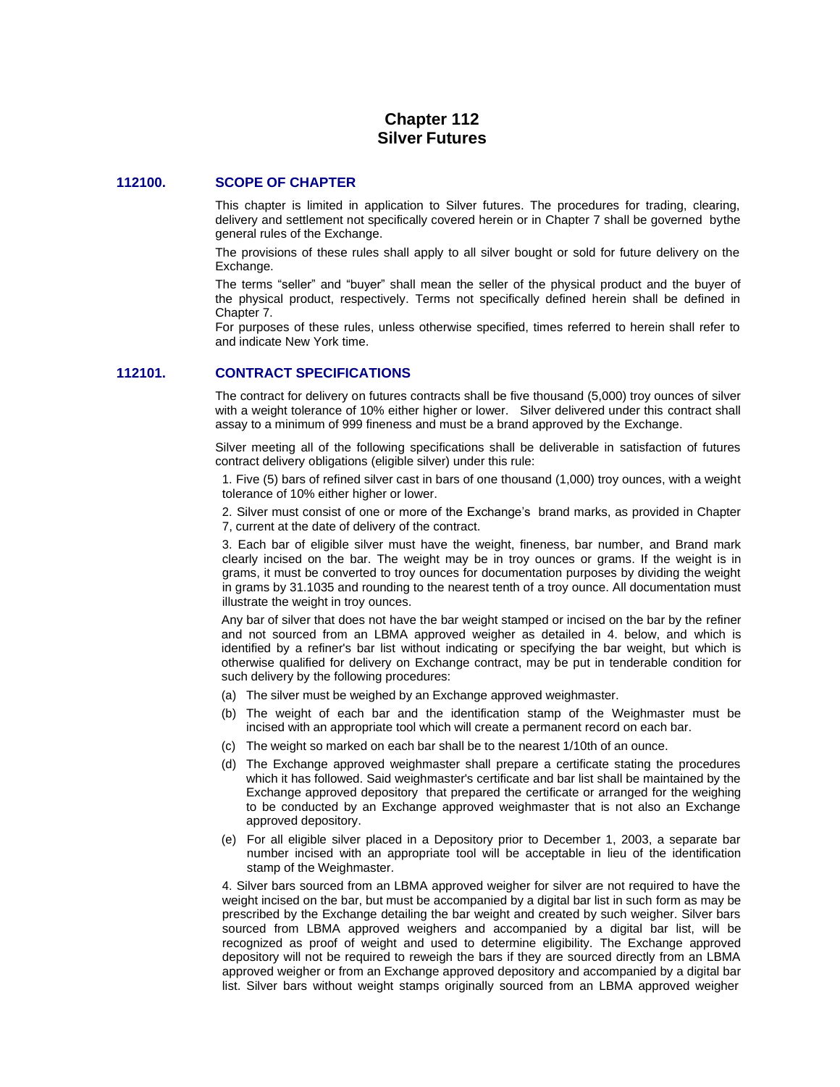# **Chapter 112 Silver Futures**

## **112100. SCOPE OF CHAPTER**

This chapter is limited in application to Silver futures. The procedures for trading, clearing, delivery and settlement not specifically covered herein or in Chapter 7 shall be governed bythe general rules of the Exchange.

The provisions of these rules shall apply to all silver bought or sold for future delivery on the Exchange.

The terms "seller" and "buyer" shall mean the seller of the physical product and the buyer of the physical product, respectively. Terms not specifically defined herein shall be defined in Chapter 7.

For purposes of these rules, unless otherwise specified, times referred to herein shall refer to and indicate New York time.

### **112101. CONTRACT SPECIFICATIONS**

The contract for delivery on futures contracts shall be five thousand (5,000) troy ounces of silver with a weight tolerance of 10% either higher or lower. Silver delivered under this contract shall assay to a minimum of 999 fineness and must be a brand approved by the Exchange.

Silver meeting all of the following specifications shall be deliverable in satisfaction of futures contract delivery obligations (eligible silver) under this rule:

1. Five (5) bars of refined silver cast in bars of one thousand (1,000) troy ounces, with a weight tolerance of 10% either higher or lower.

2. Silver must consist of one or more of the Exchange's brand marks, as provided in Chapter 7, current at the date of delivery of the contract.

3. Each bar of eligible silver must have the weight, fineness, bar number, and Brand mark clearly incised on the bar. The weight may be in troy ounces or grams. If the weight is in grams, it must be converted to troy ounces for documentation purposes by dividing the weight in grams by 31.1035 and rounding to the nearest tenth of a troy ounce. All documentation must illustrate the weight in troy ounces.

Any bar of silver that does not have the bar weight stamped or incised on the bar by the refiner and not sourced from an LBMA approved weigher as detailed in 4. below, and which is identified by a refiner's bar list without indicating or specifying the bar weight, but which is otherwise qualified for delivery on Exchange contract, may be put in tenderable condition for such delivery by the following procedures:

- (a) The silver must be weighed by an Exchange approved weighmaster.
- (b) The weight of each bar and the identification stamp of the Weighmaster must be incised with an appropriate tool which will create a permanent record on each bar.
- (c) The weight so marked on each bar shall be to the nearest 1/10th of an ounce.
- (d) The Exchange approved weighmaster shall prepare a certificate stating the procedures which it has followed. Said weighmaster's certificate and bar list shall be maintained by the Exchange approved depository that prepared the certificate or arranged for the weighing to be conducted by an Exchange approved weighmaster that is not also an Exchange approved depository.
- (e) For all eligible silver placed in a Depository prior to December 1, 2003, a separate bar number incised with an appropriate tool will be acceptable in lieu of the identification stamp of the Weighmaster.

4. Silver bars sourced from an LBMA approved weigher for silver are not required to have the weight incised on the bar, but must be accompanied by a digital bar list in such form as may be prescribed by the Exchange detailing the bar weight and created by such weigher. Silver bars sourced from LBMA approved weighers and accompanied by a digital bar list, will be recognized as proof of weight and used to determine eligibility. The Exchange approved depository will not be required to reweigh the bars if they are sourced directly from an LBMA approved weigher or from an Exchange approved depository and accompanied by a digital bar list. Silver bars without weight stamps originally sourced from an LBMA approved weigher